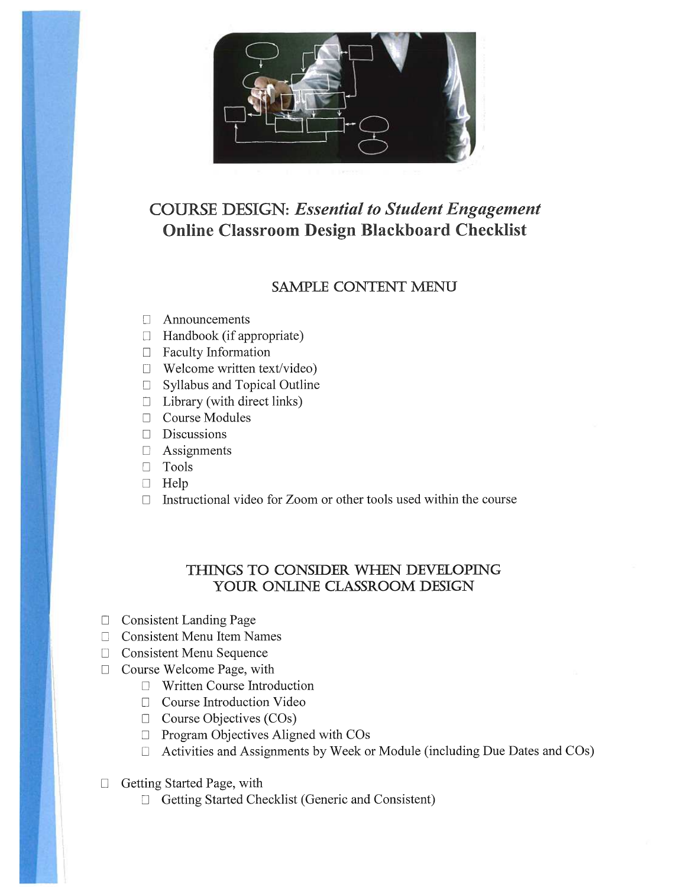

## COURSE DESIGN: Essential to Student Engagement Online Classroom Design Blackboard Checklist

## SAMPLE CONTENT MENU

- ❑ Announcements
- $\Box$  Handbook (if appropriate)
- ❑ Faculty Information
- ❑ Welcome written text/video)
- □ Syllabus and Topical Outline
- $\Box$  Library (with direct links)
- ❑ Course Modules
- ❑ Discussions
- □ Assignments
- ❑ Tools
- ❑ Help
- □ Instructional video for Zoom or other tools used within the course

## THINGS TO CONSIDER WHEN DEVELOPING YOUR ONLINE CLASSROOM DESIGN

- ❑ Consistent Landing Page
- ❑ Consistent Menu Item Names
- ❑ Consistent Menu Sequence
- □ Course Welcome Page, with
	- ❑ Written Course Introduction
	- □ Course Introduction Video
	- □ Course Objectives (COs)
	- □ Program Objectives Aligned with COs
	- ❑ Activities and Assignments by Week or Module (including Due Dates and COs)
- □ Getting Started Page, with
	- ❑ Getting Started Checklist (Generic and Consistent)